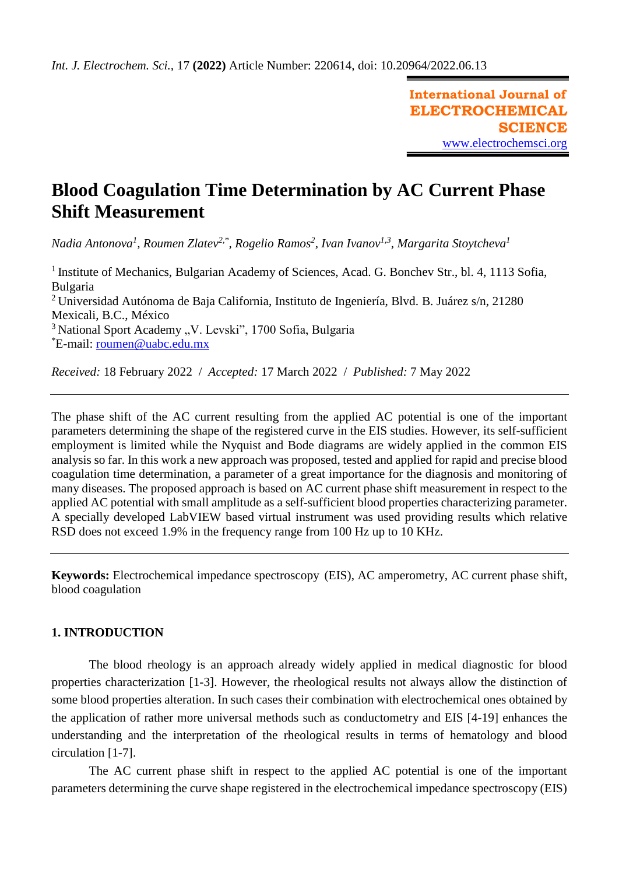**International Journal of ELECTROCHEMICAL SCIENCE** [www.electrochemsci.org](http://www.electrochemsci.org/)

# **Blood Coagulation Time Determination by AC Current Phase Shift Measurement**

*Nadia Antonova<sup>1</sup> , Roumen Zlatev2,\* , Rogelio Ramos<sup>2</sup> , Ivan Ivanov1,3 , Margarita Stoytcheva<sup>1</sup>*

<sup>1</sup> Institute of Mechanics, Bulgarian Academy of Sciences, Acad. G. Bonchev Str., bl. 4, 1113 Sofia, Bulgaria

<sup>2</sup> Universidad Autónoma de Baja California, Instituto de Ingeniería, Blvd. B. Juárez s/n, 21280 Mexicali, B.C., México

 $3$ National Sport Academy "V. Levski", 1700 Sofia, Bulgaria

\*E-mail: [roumen@uabc.edu.mx](mailto:roumen@uabc.edu.mx)

*Received:* 18 February 2022/ *Accepted:* 17 March 2022 / *Published:* 7 May 2022

The phase shift of the AC current resulting from the applied AC potential is one of the important parameters determining the shape of the registered curve in the EIS studies. However, its self-sufficient employment is limited while the Nyquist and Bode diagrams are widely applied in the common EIS analysis so far. In this work a new approach was proposed, tested and applied for rapid and precise blood coagulation time determination, a parameter of a great importance for the diagnosis and monitoring of many diseases. The proposed approach is based on AC current phase shift measurement in respect to the applied AC potential with small amplitude as a self-sufficient blood properties characterizing parameter. A specially developed LabVIEW based virtual instrument was used providing results which relative RSD does not exceed 1.9% in the frequency range from 100 Hz up to 10 KHz.

**Keywords:** Electrochemical impedance spectroscopy (EIS), AC amperometry, AC current phase shift, blood coagulation

# **1. INTRODUCTION**

The blood rheology is an approach already widely applied in medical diagnostic for blood properties characterization [1-3]. However, the rheological results not always allow the distinction of some blood properties alteration. In such cases their combination with electrochemical ones obtained by the application of rather more universal methods such as conductometry and EIS [4-19] enhances the understanding and the interpretation of the rheological results in terms of hematology and blood circulation [1-7].

The AC current phase shift in respect to the applied AC potential is one of the important parameters determining the curve shape registered in the electrochemical impedance spectroscopy (EIS)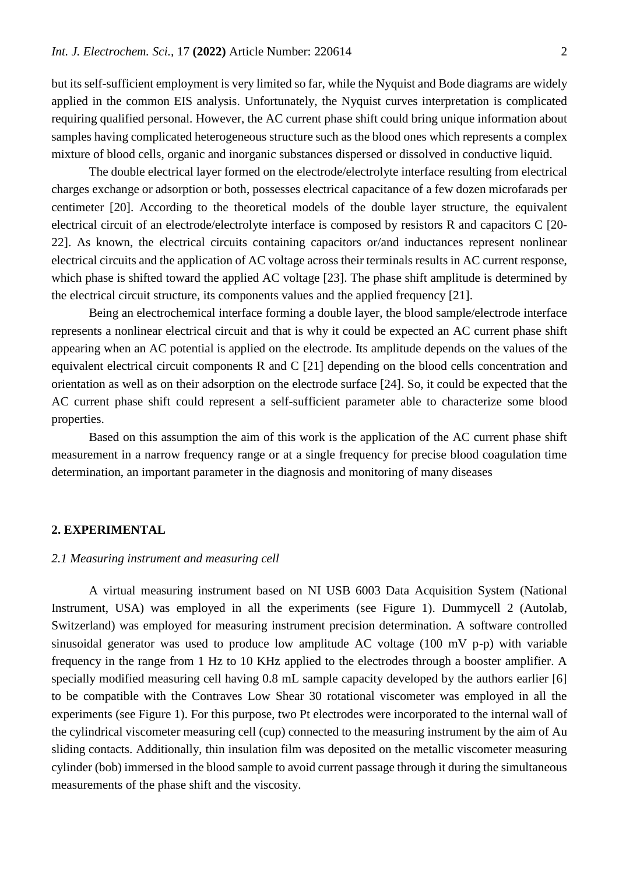but its self-sufficient employment is very limited so far, while the Nyquist and Bode diagrams are widely applied in the common EIS analysis. Unfortunately, the Nyquist curves interpretation is complicated requiring qualified personal. However, the AC current phase shift could bring unique information about samples having complicated heterogeneous structure such as the blood ones which represents a complex mixture of blood cells, organic and inorganic substances dispersed or dissolved in conductive liquid.

The double electrical layer formed on the electrode/electrolyte interface resulting from electrical charges exchange or adsorption or both, possesses electrical capacitance of a few dozen microfarads per centimeter [20]. According to the theoretical models of the double layer structure, the equivalent electrical circuit of an electrode/electrolyte interface is composed by resistors R and capacitors C [20- 22]. As known, the electrical circuits containing capacitors or/and inductances represent nonlinear electrical circuits and the application of AC voltage across their terminals results in AC current response, which phase is shifted toward the applied AC voltage [23]. The phase shift amplitude is determined by the electrical circuit structure, its components values and the applied frequency [21].

Being an electrochemical interface forming a double layer, the blood sample/electrode interface represents a nonlinear electrical circuit and that is why it could be expected an AC current phase shift appearing when an AC potential is applied on the electrode. Its amplitude depends on the values of the equivalent electrical circuit components R and C [21] depending on the blood cells concentration and orientation as well as on their adsorption on the electrode surface [24]. So, it could be expected that the AC current phase shift could represent a self-sufficient parameter able to characterize some blood properties.

Based on this assumption the aim of this work is the application of the AC current phase shift measurement in a narrow frequency range or at a single frequency for precise blood coagulation time determination, an important parameter in the diagnosis and monitoring of many diseases

## **2. EXPERIMENTAL**

## *2.1 Measuring instrument and measuring cell*

A virtual measuring instrument based on NI USB 6003 Data Acquisition System (National Instrument, USA) was employed in all the experiments (see Figure 1). Dummycell 2 (Autolab, Switzerland) was employed for measuring instrument precision determination. A software controlled sinusoidal generator was used to produce low amplitude AC voltage (100 mV p-p) with variable frequency in the range from 1 Hz to 10 KHz applied to the electrodes through a booster amplifier. A specially modified measuring cell having 0.8 mL sample capacity developed by the authors earlier [6] to be compatible with the Contraves Low Shear 30 rotational viscometer was employed in all the experiments (see Figure 1). For this purpose, two Pt electrodes were incorporated to the internal wall of the cylindrical viscometer measuring cell (cup) connected to the measuring instrument by the aim of Au sliding contacts. Additionally, thin insulation film was deposited on the metallic viscometer measuring cylinder (bob) immersed in the blood sample to avoid current passage through it during the simultaneous measurements of the phase shift and the viscosity.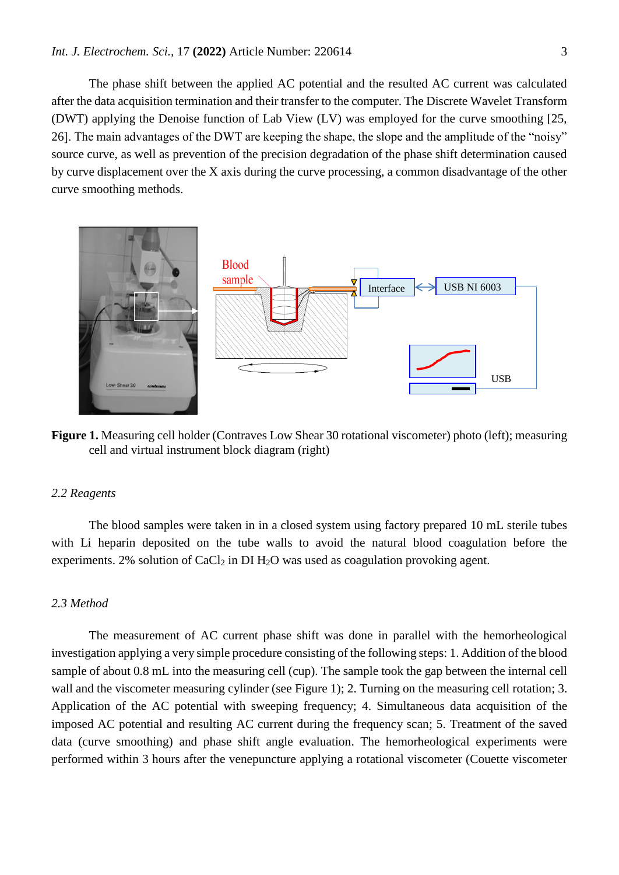The phase shift between the applied AC potential and the resulted AC current was calculated after the data acquisition termination and their transfer to the computer. The Discrete Wavelet Transform (DWT) applying the Denoise function of Lab View (LV) was employed for the curve smoothing [25, 26]. The main advantages of the DWT are keeping the shape, the slope and the amplitude of the "noisy" source curve, as well as prevention of the precision degradation of the phase shift determination caused by curve displacement over the X axis during the curve processing, a common disadvantage of the other curve smoothing methods.



**Figure 1.** Measuring cell holder (Contraves Low Shear 30 rotational viscometer) photo (left); measuring cell and virtual instrument block diagram (right)

#### *2.2 Reagents*

The blood samples were taken in in a closed system using factory prepared 10 mL sterile tubes with Li heparin deposited on the tube walls to avoid the natural blood coagulation before the experiments. 2% solution of CaCl<sub>2</sub> in DI H<sub>2</sub>O was used as coagulation provoking agent.

#### *2.3 Method*

The measurement of AC current phase shift was done in parallel with the hemorheological investigation applying a very simple procedure consisting of the following steps: 1. Addition of the blood sample of about 0.8 mL into the measuring cell (cup). The sample took the gap between the internal cell wall and the viscometer measuring cylinder (see Figure 1); 2. Turning on the measuring cell rotation; 3. Application of the AC potential with sweeping frequency; 4. Simultaneous data acquisition of the imposed AC potential and resulting AC current during the frequency scan; 5. Treatment of the saved data (curve smoothing) and phase shift angle evaluation. The hemorheological experiments were performed within 3 hours after the venepuncture applying a rotational viscometer (Couette viscometer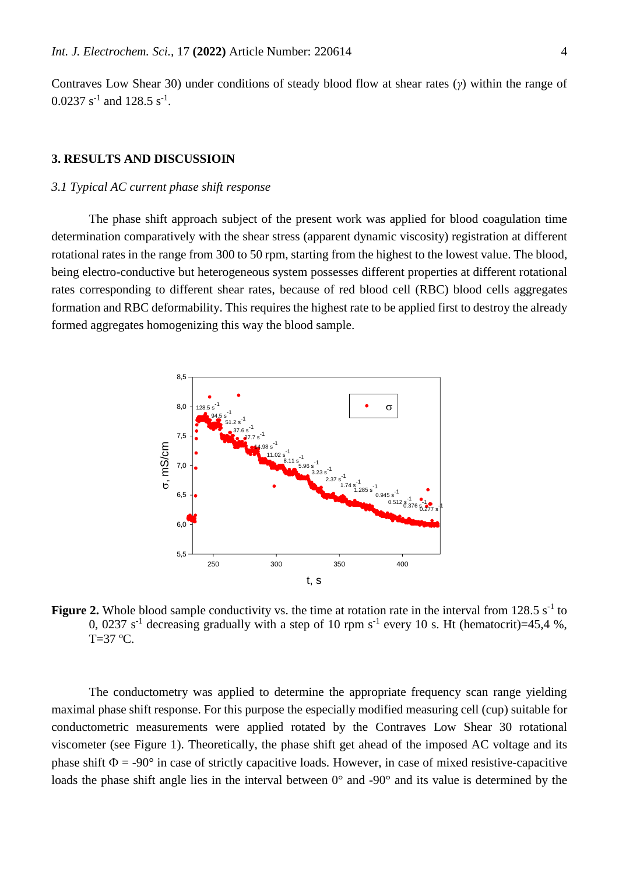Contraves Low Shear 30) under conditions of steady blood flow at shear rates (*γ*) within the range of  $0.0237$  s<sup>-1</sup> and 128.5 s<sup>-1</sup>.

## **3. RESULTS AND DISCUSSIOIN**

#### *3.1 Typical AC current phase shift response*

The phase shift approach subject of the present work was applied for blood coagulation time determination comparatively with the shear stress (apparent dynamic viscosity) registration at different rotational rates in the range from 300 to 50 rpm, starting from the highest to the lowest value. The blood, being electro-conductive but heterogeneous system possesses different properties at different rotational rates corresponding to different shear rates, because of red blood cell (RBC) blood cells aggregates formation and RBC deformability. This requires the highest rate to be applied first to destroy the already formed aggregates homogenizing this way the blood sample.



**Figure 2.** Whole blood sample conductivity vs. the time at rotation rate in the interval from  $128.5 s<sup>-1</sup>$  to 0, 0237 s<sup>-1</sup> decreasing gradually with a step of 10 rpm s<sup>-1</sup> every 10 s. Ht (hematocrit)=45,4 %,  $T=37$  °C.

The conductometry was applied to determine the appropriate frequency scan range yielding maximal phase shift response. For this purpose the especially modified measuring cell (cup) suitable for conductometric measurements were applied rotated by the Contraves Low Shear 30 rotational viscometer (see Figure 1). Theoretically, the phase shift get ahead of the imposed AC voltage and its phase shift  $\Phi = -90^\circ$  in case of strictly capacitive loads. However, in case of mixed resistive-capacitive loads the phase shift angle lies in the interval between 0° and -90° and its value is determined by the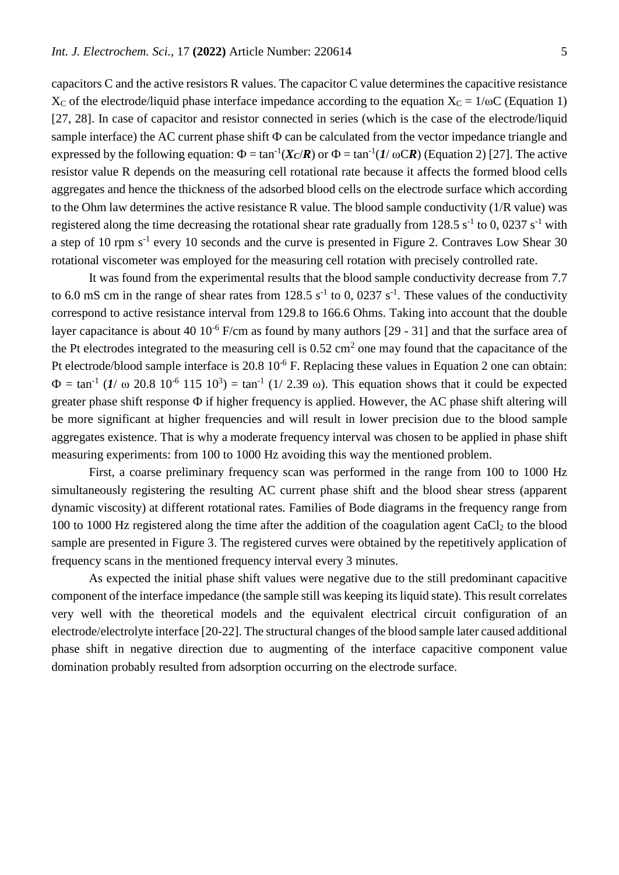capacitors C and the active resistors R values. The capacitor C value determines the capacitive resistance  $X_c$  of the electrode/liquid phase interface impedance according to the equation  $X_c = 1/\omega C$  (Equation 1) [27, 28]. In case of capacitor and resistor connected in series (which is the case of the electrode/liquid sample interface) the AC current phase shift  $\Phi$  can be calculated from the vector impedance triangle and expressed by the following equation:  $\Phi = \tan^{-1}(X_C/R)$  or  $\Phi = \tan^{-1}(I/\omega CR)$  (Equation 2) [27]. The active resistor value R depends on the measuring cell rotational rate because it affects the formed blood cells aggregates and hence the thickness of the adsorbed blood cells on the electrode surface which according to the Ohm law determines the active resistance R value. The blood sample conductivity (1/R value) was registered along the time decreasing the rotational shear rate gradually from 128.5  $s^{-1}$  to 0, 0237  $s^{-1}$  with a step of 10 rpm s<sup>-1</sup> every 10 seconds and the curve is presented in Figure 2. Contraves Low Shear 30 rotational viscometer was employed for the measuring cell rotation with precisely controlled rate.

It was found from the experimental results that the blood sample conductivity decrease from 7.7 to 6.0 mS cm in the range of shear rates from  $128.5 s<sup>-1</sup>$  to 0, 0237 s<sup>-1</sup>. These values of the conductivity correspond to active resistance interval from 129.8 to 166.6 Ohms. Taking into account that the double layer capacitance is about 40  $10^{-6}$  F/cm as found by many authors [29 - 31] and that the surface area of the Pt electrodes integrated to the measuring cell is  $0.52 \text{ cm}^2$  one may found that the capacitance of the Pt electrode/blood sample interface is 20.8 10<sup>-6</sup> F. Replacing these values in Equation 2 one can obtain:  $Φ = tan^{-1} (1/ω 20.8 10<sup>-6</sup> 115 10<sup>3</sup>) = tan^{-1} (1/2.39 ω)$ . This equation shows that it could be expected greater phase shift response  $\Phi$  if higher frequency is applied. However, the AC phase shift altering will be more significant at higher frequencies and will result in lower precision due to the blood sample aggregates existence. That is why a moderate frequency interval was chosen to be applied in phase shift measuring experiments: from 100 to 1000 Hz avoiding this way the mentioned problem.

First, a coarse preliminary frequency scan was performed in the range from 100 to 1000 Hz simultaneously registering the resulting AC current phase shift and the blood shear stress (apparent dynamic viscosity) at different rotational rates. Families of Bode diagrams in the frequency range from 100 to 1000 Hz registered along the time after the addition of the coagulation agent  $CaCl<sub>2</sub>$  to the blood sample are presented in Figure 3. The registered curves were obtained by the repetitively application of frequency scans in the mentioned frequency interval every 3 minutes.

As expected the initial phase shift values were negative due to the still predominant capacitive component of the interface impedance (the sample still was keeping its liquid state). This result correlates very well with the theoretical models and the equivalent electrical circuit configuration of an electrode/electrolyte interface [20-22]. The structural changes of the blood sample later caused additional phase shift in negative direction due to augmenting of the interface capacitive component value domination probably resulted from adsorption occurring on the electrode surface.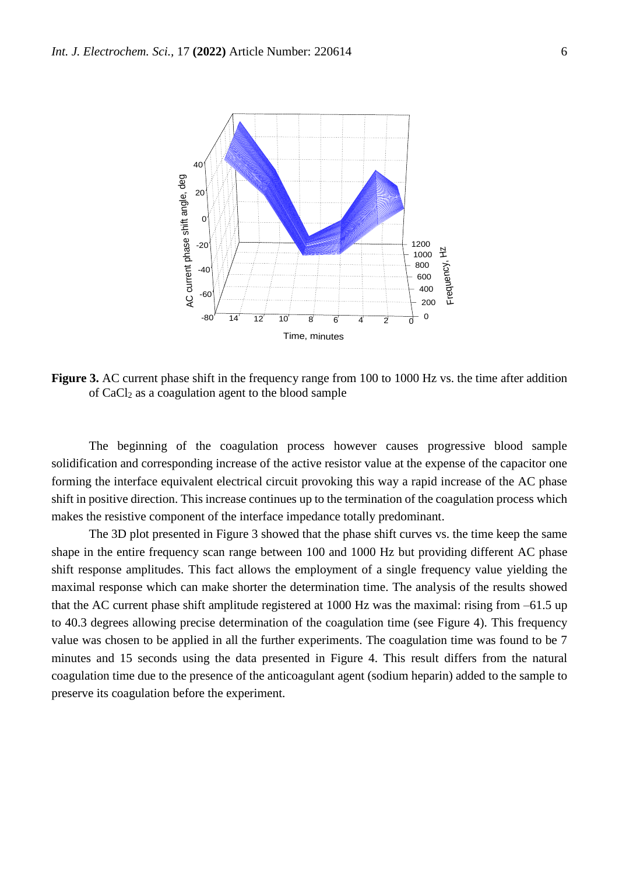

**Figure 3.** AC current phase shift in the frequency range from 100 to 1000 Hz vs. the time after addition of CaCl<sup>2</sup> as a coagulation agent to the blood sample

The beginning of the coagulation process however causes progressive blood sample solidification and corresponding increase of the active resistor value at the expense of the capacitor one forming the interface equivalent electrical circuit provoking this way a rapid increase of the AC phase shift in positive direction. This increase continues up to the termination of the coagulation process which makes the resistive component of the interface impedance totally predominant.

The 3D plot presented in Figure 3 showed that the phase shift curves vs. the time keep the same shape in the entire frequency scan range between 100 and 1000 Hz but providing different AC phase shift response amplitudes. This fact allows the employment of a single frequency value yielding the maximal response which can make shorter the determination time. The analysis of the results showed that the AC current phase shift amplitude registered at 1000 Hz was the maximal: rising from –61.5 up to 40.3 degrees allowing precise determination of the coagulation time (see Figure 4). This frequency value was chosen to be applied in all the further experiments. The coagulation time was found to be 7 minutes and 15 seconds using the data presented in Figure 4. This result differs from the natural coagulation time due to the presence of the anticoagulant agent (sodium heparin) added to the sample to preserve its coagulation before the experiment.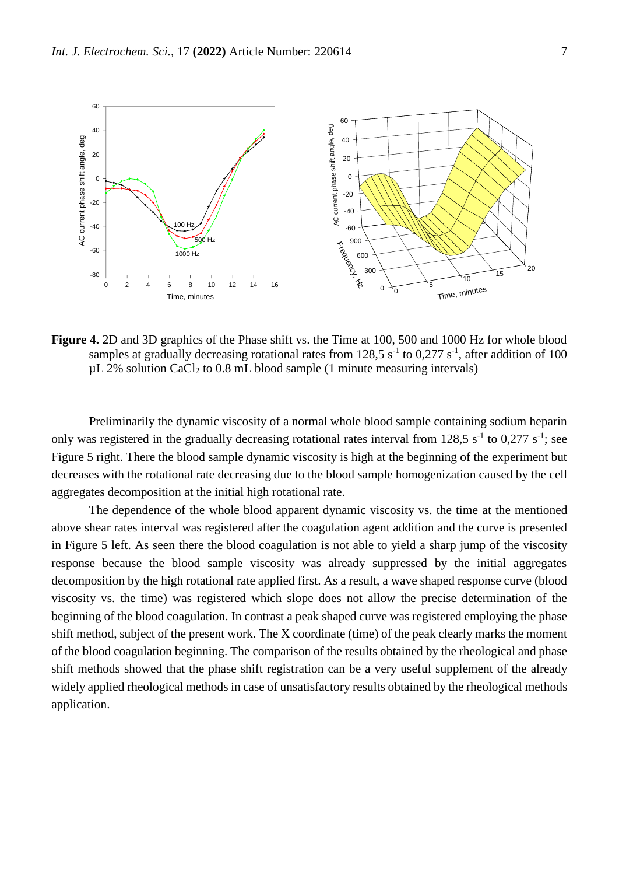

**Figure 4.** 2D and 3D graphics of the Phase shift vs. the Time at 100, 500 and 1000 Hz for whole blood samples at gradually decreasing rotational rates from 128,5  $s^{-1}$  to 0,277  $s^{-1}$ , after addition of 100  $\mu$ L 2% solution CaCl<sub>2</sub> to 0.8 mL blood sample (1 minute measuring intervals)

Preliminarily the dynamic viscosity of a normal whole blood sample containing sodium heparin only was registered in the gradually decreasing rotational rates interval from 128,5  $s^{-1}$  to 0,277  $s^{-1}$ ; see Figure 5 right. There the blood sample dynamic viscosity is high at the beginning of the experiment but decreases with the rotational rate decreasing due to the blood sample homogenization caused by the cell aggregates decomposition at the initial high rotational rate.

The dependence of the whole blood apparent dynamic viscosity vs. the time at the mentioned above shear rates interval was registered after the coagulation agent addition and the curve is presented in Figure 5 left. As seen there the blood coagulation is not able to yield a sharp jump of the viscosity response because the blood sample viscosity was already suppressed by the initial aggregates decomposition by the high rotational rate applied first. As a result, a wave shaped response curve (blood viscosity vs. the time) was registered which slope does not allow the precise determination of the beginning of the blood coagulation. In contrast a peak shaped curve was registered employing the phase shift method, subject of the present work. The X coordinate (time) of the peak clearly marks the moment of the blood coagulation beginning. The comparison of the results obtained by the rheological and phase shift methods showed that the phase shift registration can be a very useful supplement of the already widely applied rheological methods in case of unsatisfactory results obtained by the rheological methods application.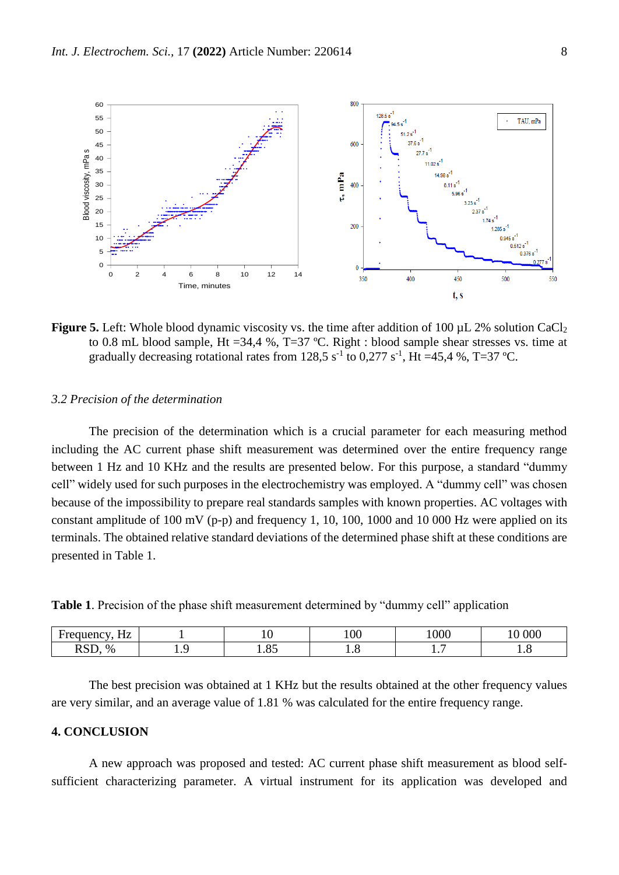

**Figure 5.** Left: Whole blood dynamic viscosity vs. the time after addition of 100 µL 2% solution CaCl<sub>2</sub> to 0.8 mL blood sample, Ht =34,4 %, T=37 ºC. Right : blood sample shear stresses vs. time at gradually decreasing rotational rates from 128,5 s<sup>-1</sup> to 0,277 s<sup>-1</sup>, Ht =45,4 %, T=37 °C.

#### *3.2 Precision of the determination*

The precision of the determination which is a crucial parameter for each measuring method including the AC current phase shift measurement was determined over the entire frequency range between 1 Hz and 10 KHz and the results are presented below. For this purpose, a standard "dummy cell" widely used for such purposes in the electrochemistry was employed. A "dummy cell" was chosen because of the impossibility to prepare real standards samples with known properties. AC voltages with constant amplitude of 100 mV (p-p) and frequency 1, 10, 100, 1000 and 10 000 Hz were applied on its terminals. The obtained relative standard deviations of the determined phase shift at these conditions are presented in Table 1.

**Table 1**. Precision of the phase shift measurement determined by "dummy cell" application

| $- -$<br>. .<br><b>Ancy</b><br>11L   |   |                                                | 100 | $\Omega$<br>''00C | 000                           |
|--------------------------------------|---|------------------------------------------------|-----|-------------------|-------------------------------|
| $\sim$ $\sim$<br>$\%$<br><b>TANT</b> | . | $\sim$ $\sim$<br>$\mathbf{1} \cdot \mathbf{0}$ | ⊥∙∪ | . .               | $\mathbf{1} \cdot \mathbf{0}$ |

The best precision was obtained at 1 KHz but the results obtained at the other frequency values are very similar, and an average value of 1.81 % was calculated for the entire frequency range.

## **4. CONCLUSION**

A new approach was proposed and tested: AC current phase shift measurement as blood selfsufficient characterizing parameter. A virtual instrument for its application was developed and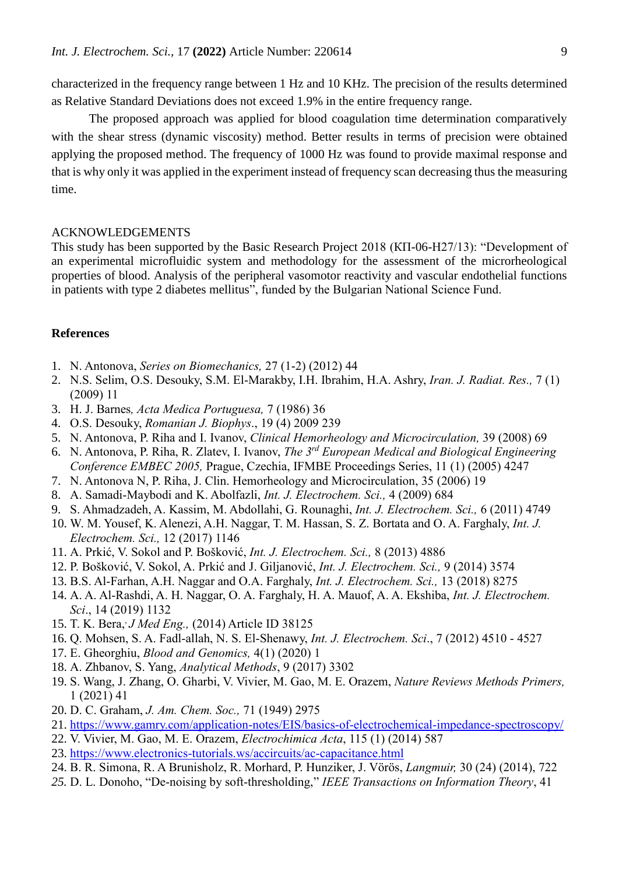characterized in the frequency range between 1 Hz and 10 KHz. The precision of the results determined as Relative Standard Deviations does not exceed 1.9% in the entire frequency range.

The proposed approach was applied for blood coagulation time determination comparatively with the shear stress (dynamic viscosity) method. Better results in terms of precision were obtained applying the proposed method. The frequency of 1000 Hz was found to provide maximal response and that is why only it was applied in the experiment instead of frequency scan decreasing thus the measuring time.

## ACKNOWLEDGEMENTS

This study has been supported by the Basic Research Project 2018 (КП-06-Н27/13): "Development of an experimental microfluidic system and methodology for the assessment of the microrheological properties of blood. Analysis of the peripheral vasomotor reactivity and vascular endothelial functions in patients with type 2 diabetes mellitus", funded by the Bulgarian National Science Fund.

## **References**

- 1. N. Antonova, *Series on Biomechanics,* 27 (1-2) (2012) 44
- 2. N.S. Selim, O.S. Desouky, S.M. El-Marakby, I.H. Ibrahim, H.A. Ashry, *Iran. J. Radiat. Res.,* 7 (1) (2009) 11
- 3. H. J. Barnes*, Acta Medica Portuguesa,* 7 (1986) 36
- 4. O.S. Desouky, *Romanian J. Biophys*., 19 (4) 2009 239
- 5. N. Antonova, P. Riha and I. Ivanov, *Clinical Hemorheology and Microcirculation,* 39 (2008) 69
- 6. N. Antonova, P. Riha, R. Zlatev, I. Ivanov, *The 3rd European Medical and Biological Engineering Conference EMBEC 2005,* Prague, Czechia, [IFMBE Proceedings Series, 11 \(1\) \(2005\) 4247](https://www.timeanddate.com/worldclock/czech-republic/prague)
- 7. N. Antonova N, P. Riha, J. Clin. Hemorheology and Microcirculation, 35 (2006) 19
- 8. A. Samadi-Maybodi and K. Abolfazli, *Int. J. Electrochem. Sci.,* 4 (2009) 684
- 9. S. Ahmadzadeh, A. Kassim, M. Abdollahi, G. Rounaghi, *Int. J. Electrochem. Sci.,* 6 (2011) 4749
- 10. W. M. Yousef, K. Alenezi, A.H. Naggar, T. M. Hassan, S. Z. Bortata and O. A. Farghaly, *Int. J. Electrochem. Sci.,* 12 (2017) 1146
- 11. A. Prkić, V. Sokol and P. Bošković, *Int. J. Electrochem. Sci.,* 8 (2013) 4886
- 12. P. Bošković, V. Sokol, A. Prkić and J. Giljanović, *Int. J. Electrochem. Sci.,* 9 (2014) 3574
- 13. B.S. Al-Farhan, A.H. Naggar and O.A. Farghaly, *Int. J. Electrochem. Sci.,* 13 (2018) 8275
- 14. A. A. Al-Rashdi, A. H. Naggar, O. A. Farghaly, H. A. Mauof, A. A. Ekshiba, *Int. J. Electrochem. Sci*., 14 (2019) 1132
- 15. T. K. [Bera,](https://www.ncbi.nlm.nih.gov/pubmed/?term=Bera%20TK%5BAuthor%5D&cauthor=true&cauthor_uid=27006932) , *[J Med Eng.,](https://www.ncbi.nlm.nih.gov/pmc/articles/PMC4782691/)* (2014) Article ID 38125
- 16. Q. Mohsen, S. A. Fadl-allah, N. S. El-Shenawy, *Int. J. Electrochem. Sci*., 7 (2012) 4510 4527
- 17. E. Gheorghiu, *Blood and Genomics,* 4(1) (2020) 1
- 18. A. Zhbanov, S. Yang, *Analytical Methods*, 9 (2017) 3302
- 19. S. Wang, J. Zhang, O. Gharbi, V. Vivier, M. Gao, M. E. Orazem, *Nature Reviews Methods Primers,* 1 (2021) 41
- 20. D. C. Graham, *J. Am. Chem. Soc.,* 71 (1949) 2975
- 21. <https://www.gamry.com/application-notes/EIS/basics-of-electrochemical-impedance-spectroscopy/>
- 22. V. Vivier, M. Gao, M. E. Orazem, *Electrochimica Acta*, 115 (1) (2014) 587
- 23. <https://www.electronics-tutorials.ws/accircuits/ac-capacitance.html>
- 24. B. R. Simona, R. A Brunisholz, R. Morhard, P. Hunziker, J. Vörös, *Langmuir,* 30 (24) (2014), 722
- *25.* D. L. Donoho, "De-noising by soft-thresholding," *IEEE Transactions on Information Theory*, 41